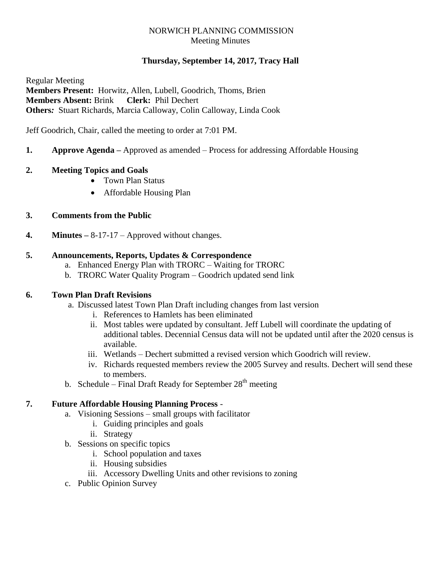# NORWICH PLANNING COMMISSION Meeting Minutes

# **Thursday, September 14, 2017, Tracy Hall**

Regular Meeting **Members Present:** Horwitz, Allen, Lubell, Goodrich, Thoms, Brien **Members Absent:** Brink **Clerk:** Phil Dechert **Others***:* Stuart Richards, Marcia Calloway, Colin Calloway, Linda Cook

Jeff Goodrich, Chair, called the meeting to order at 7:01 PM.

# **1. Approve Agenda –** Approved as amended – Process for addressing Affordable Housing

#### **2. Meeting Topics and Goals**

- Town Plan Status
- Affordable Housing Plan

# **3. Comments from the Public**

**4. Minutes –** 8-17-17 – Approved without changes.

#### **5. Announcements, Reports, Updates & Correspondence**

- a. Enhanced Energy Plan with TRORC Waiting for TRORC
- b. TRORC Water Quality Program Goodrich updated send link

# **6. Town Plan Draft Revisions**

- a. Discussed latest Town Plan Draft including changes from last version
	- i. References to Hamlets has been eliminated
	- ii. Most tables were updated by consultant. Jeff Lubell will coordinate the updating of additional tables. Decennial Census data will not be updated until after the 2020 census is available.
	- iii. Wetlands Dechert submitted a revised version which Goodrich will review.
	- iv. Richards requested members review the 2005 Survey and results. Dechert will send these to members.
- b. Schedule Final Draft Ready for September  $28<sup>th</sup>$  meeting

# **7. Future Affordable Housing Planning Process** -

- a. Visioning Sessions small groups with facilitator
	- i. Guiding principles and goals
	- ii. Strategy
- b. Sessions on specific topics
	- i. School population and taxes
	- ii. Housing subsidies
	- iii. Accessory Dwelling Units and other revisions to zoning
- c. Public Opinion Survey